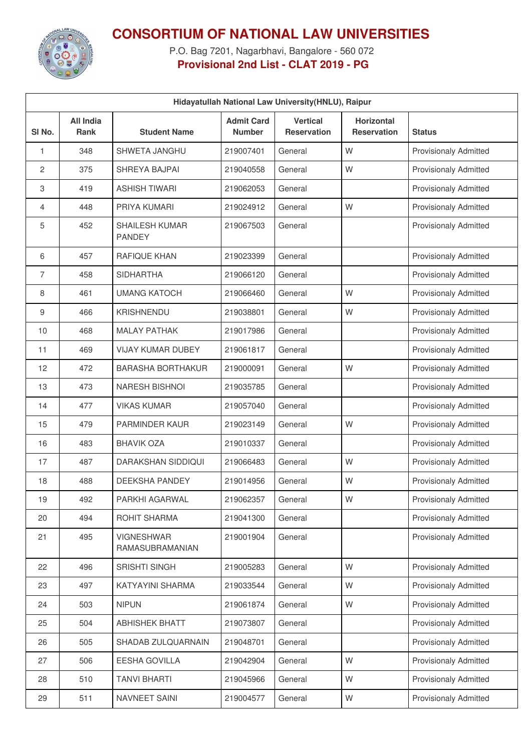

## **CONSORTIUM OF NATIONAL LAW UNIVERSITIES**

P.O. Bag 7201, Nagarbhavi, Bangalore - 560 072 **Provisional 2nd List - CLAT 2019 - PG**

| Hidayatullah National Law University (HNLU), Raipur |                                 |                                        |                                    |                                       |                                         |                              |
|-----------------------------------------------------|---------------------------------|----------------------------------------|------------------------------------|---------------------------------------|-----------------------------------------|------------------------------|
| SI No.                                              | <b>All India</b><br><b>Rank</b> | <b>Student Name</b>                    | <b>Admit Card</b><br><b>Number</b> | <b>Vertical</b><br><b>Reservation</b> | <b>Horizontal</b><br><b>Reservation</b> | <b>Status</b>                |
| 1                                                   | 348                             | <b>SHWETA JANGHU</b>                   | 219007401                          | General                               | W                                       | <b>Provisionaly Admitted</b> |
| 2                                                   | 375                             | SHREYA BAJPAI                          | 219040558                          | General                               | W                                       | <b>Provisionaly Admitted</b> |
| 3                                                   | 419                             | <b>ASHISH TIWARI</b>                   | 219062053                          | General                               |                                         | <b>Provisionaly Admitted</b> |
| 4                                                   | 448                             | PRIYA KUMARI                           | 219024912                          | General                               | W                                       | <b>Provisionaly Admitted</b> |
| 5                                                   | 452                             | <b>SHAILESH KUMAR</b><br><b>PANDEY</b> | 219067503                          | General                               |                                         | <b>Provisionaly Admitted</b> |
| 6                                                   | 457                             | <b>RAFIQUE KHAN</b>                    | 219023399                          | General                               |                                         | Provisionaly Admitted        |
| $\overline{7}$                                      | 458                             | <b>SIDHARTHA</b>                       | 219066120                          | General                               |                                         | <b>Provisionaly Admitted</b> |
| 8                                                   | 461                             | <b>UMANG KATOCH</b>                    | 219066460                          | General                               | W                                       | Provisionaly Admitted        |
| 9                                                   | 466                             | <b>KRISHNENDU</b>                      | 219038801                          | General                               | W                                       | <b>Provisionaly Admitted</b> |
| 10                                                  | 468                             | <b>MALAY PATHAK</b>                    | 219017986                          | General                               |                                         | Provisionaly Admitted        |
| 11                                                  | 469                             | <b>VIJAY KUMAR DUBEY</b>               | 219061817                          | General                               |                                         | <b>Provisionaly Admitted</b> |
| 12                                                  | 472                             | <b>BARASHA BORTHAKUR</b>               | 219000091                          | General                               | W                                       | <b>Provisionaly Admitted</b> |
| 13                                                  | 473                             | <b>NARESH BISHNOI</b>                  | 219035785                          | General                               |                                         | <b>Provisionaly Admitted</b> |
| 14                                                  | 477                             | <b>VIKAS KUMAR</b>                     | 219057040                          | General                               |                                         | <b>Provisionaly Admitted</b> |
| 15                                                  | 479                             | PARMINDER KAUR                         | 219023149                          | General                               | W                                       | <b>Provisionaly Admitted</b> |
| 16                                                  | 483                             | <b>BHAVIK OZA</b>                      | 219010337                          | General                               |                                         | <b>Provisionaly Admitted</b> |
| 17                                                  | 487                             | DARAKSHAN SIDDIQUI                     | 219066483                          | General                               | W                                       | <b>Provisionaly Admitted</b> |
| 18                                                  | 488                             | DEEKSHA PANDEY                         | 219014956                          | General                               | W                                       | <b>Provisionaly Admitted</b> |
| 19                                                  | 492                             | PARKHI AGARWAL                         | 219062357                          | General                               | W                                       | <b>Provisionaly Admitted</b> |
| 20                                                  | 494                             | ROHIT SHARMA                           | 219041300                          | General                               |                                         | <b>Provisionaly Admitted</b> |
| 21                                                  | 495                             | <b>VIGNESHWAR</b><br>RAMASUBRAMANIAN   | 219001904                          | General                               |                                         | <b>Provisionaly Admitted</b> |
| 22                                                  | 496                             | <b>SRISHTI SINGH</b>                   | 219005283                          | General                               | W                                       | <b>Provisionaly Admitted</b> |
| 23                                                  | 497                             | KATYAYINI SHARMA                       | 219033544                          | General                               | W                                       | Provisionaly Admitted        |
| 24                                                  | 503                             | <b>NIPUN</b>                           | 219061874                          | General                               | W                                       | <b>Provisionaly Admitted</b> |
| 25                                                  | 504                             | <b>ABHISHEK BHATT</b>                  | 219073807                          | General                               |                                         | Provisionaly Admitted        |
| 26                                                  | 505                             | SHADAB ZULQUARNAIN                     | 219048701                          | General                               |                                         | <b>Provisionaly Admitted</b> |
| 27                                                  | 506                             | EESHA GOVILLA                          | 219042904                          | General                               | W                                       | Provisionaly Admitted        |
| 28                                                  | 510                             | <b>TANVI BHARTI</b>                    | 219045966                          | General                               | W                                       | <b>Provisionaly Admitted</b> |
| 29                                                  | 511                             | NAVNEET SAINI                          | 219004577                          | General                               | W                                       | Provisionaly Admitted        |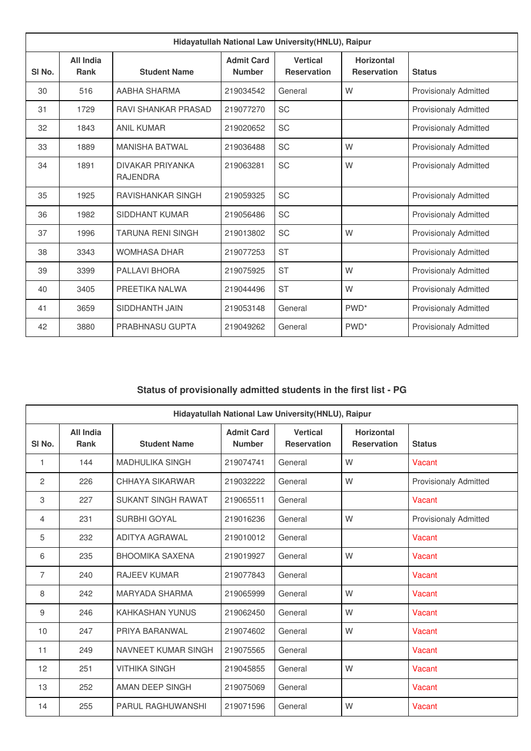| Hidayatullah National Law University(HNLU), Raipur |                          |                                            |                                    |                                       |                                         |                              |
|----------------------------------------------------|--------------------------|--------------------------------------------|------------------------------------|---------------------------------------|-----------------------------------------|------------------------------|
| SI <sub>No.</sub>                                  | All India<br><b>Rank</b> | <b>Student Name</b>                        | <b>Admit Card</b><br><b>Number</b> | <b>Vertical</b><br><b>Reservation</b> | <b>Horizontal</b><br><b>Reservation</b> | <b>Status</b>                |
| 30                                                 | 516                      | AABHA SHARMA                               | 219034542                          | General                               | W                                       | <b>Provisionaly Admitted</b> |
| 31                                                 | 1729                     | RAVI SHANKAR PRASAD                        | 219077270                          | <b>SC</b>                             |                                         | <b>Provisionaly Admitted</b> |
| 32                                                 | 1843                     | <b>ANIL KUMAR</b>                          | 219020652                          | <b>SC</b>                             |                                         | <b>Provisionaly Admitted</b> |
| 33                                                 | 1889                     | MANISHA BATWAI                             | 219036488                          | <b>SC</b>                             | W                                       | <b>Provisionaly Admitted</b> |
| 34                                                 | 1891                     | <b>DIVAKAR PRIYANKA</b><br><b>RAJENDRA</b> | 219063281                          | <b>SC</b>                             | W                                       | <b>Provisionaly Admitted</b> |
| 35                                                 | 1925                     | <b>RAVISHANKAR SINGH</b>                   | 219059325                          | <b>SC</b>                             |                                         | <b>Provisionaly Admitted</b> |
| 36                                                 | 1982                     | <b>SIDDHANT KUMAR</b>                      | 219056486                          | <b>SC</b>                             |                                         | <b>Provisionaly Admitted</b> |
| 37                                                 | 1996                     | <b>TARUNA RENI SINGH</b>                   | 219013802                          | <b>SC</b>                             | W                                       | <b>Provisionaly Admitted</b> |
| 38                                                 | 3343                     | <b>WOMHASA DHAR</b>                        | 219077253                          | <b>ST</b>                             |                                         | <b>Provisionaly Admitted</b> |
| 39                                                 | 3399                     | PAI LAVI BHORA                             | 219075925                          | <b>ST</b>                             | W                                       | <b>Provisionaly Admitted</b> |
| 40                                                 | 3405                     | PREETIKA NAI WA                            | 219044496                          | <b>ST</b>                             | W                                       | <b>Provisionaly Admitted</b> |
| 41                                                 | 3659                     | SIDDHANTH JAIN                             | 219053148                          | General                               | PWD <sup>*</sup>                        | <b>Provisionaly Admitted</b> |
| 42                                                 | 3880                     | <b>PRABHNASU GUPTA</b>                     | 219049262                          | General                               | PWD <sup>*</sup>                        | <b>Provisionaly Admitted</b> |

## **Status of provisionally admitted students in the first list - PG**

| Hidayatullah National Law University (HNLU), Raipur |                          |                           |                                    |                                       |                                         |                              |
|-----------------------------------------------------|--------------------------|---------------------------|------------------------------------|---------------------------------------|-----------------------------------------|------------------------------|
| SI No.                                              | All India<br><b>Rank</b> | <b>Student Name</b>       | <b>Admit Card</b><br><b>Number</b> | <b>Vertical</b><br><b>Reservation</b> | <b>Horizontal</b><br><b>Reservation</b> | <b>Status</b>                |
| 1                                                   | 144                      | <b>MADHULIKA SINGH</b>    | 219074741                          | General                               | W                                       | Vacant                       |
| 2                                                   | 226                      | CHHAYA SIKARWAR           | 219032222                          | General                               | W                                       | <b>Provisionaly Admitted</b> |
| 3                                                   | 227                      | <b>SUKANT SINGH RAWAT</b> | 219065511                          | General                               |                                         | Vacant                       |
| 4                                                   | 231                      | <b>SURBHI GOYAL</b>       | 219016236                          | General                               | W                                       | <b>Provisionaly Admitted</b> |
| 5                                                   | 232                      | ADITYA AGRAWAL            | 219010012                          | General                               |                                         | Vacant                       |
| 6                                                   | 235                      | <b>BHOOMIKA SAXENA</b>    | 219019927                          | General                               | W                                       | Vacant                       |
| $\overline{7}$                                      | 240                      | <b>RAJEEV KUMAR</b>       | 219077843                          | General                               |                                         | Vacant                       |
| 8                                                   | 242                      | <b>MARYADA SHARMA</b>     | 219065999                          | General                               | W                                       | Vacant                       |
| 9                                                   | 246                      | <b>KAHKASHAN YUNUS</b>    | 219062450                          | General                               | W                                       | Vacant                       |
| 10                                                  | 247                      | PRIYA BARANWAL            | 219074602                          | General                               | W                                       | Vacant                       |
| 11                                                  | 249                      | NAVNEET KUMAR SINGH       | 219075565                          | General                               |                                         | Vacant                       |
| 12                                                  | 251                      | <b>VITHIKA SINGH</b>      | 219045855                          | General                               | W                                       | Vacant                       |
| 13                                                  | 252                      | AMAN DEEP SINGH           | 219075069                          | General                               |                                         | Vacant                       |
| 14                                                  | 255                      | <b>PARUL RAGHUWANSHI</b>  | 219071596                          | General                               | W                                       | Vacant                       |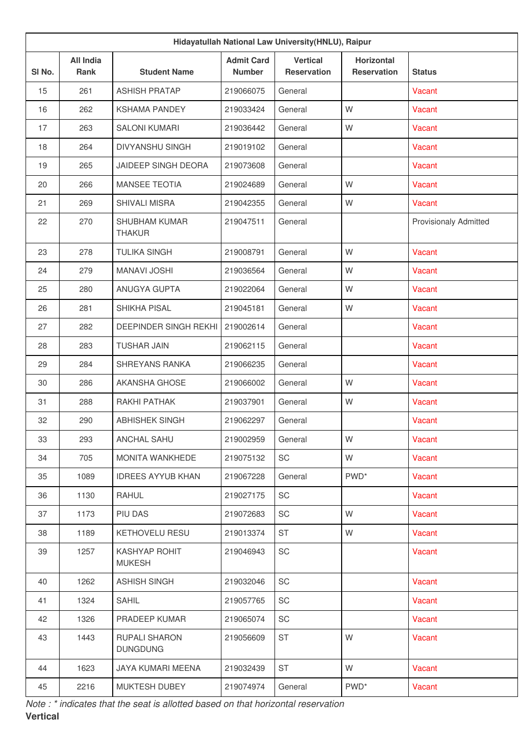| Hidayatullah National Law University (HNLU), Raipur |                                 |                                       |                                    |                                       |                                         |                              |  |
|-----------------------------------------------------|---------------------------------|---------------------------------------|------------------------------------|---------------------------------------|-----------------------------------------|------------------------------|--|
| SI <sub>No.</sub>                                   | <b>All India</b><br><b>Rank</b> | <b>Student Name</b>                   | <b>Admit Card</b><br><b>Number</b> | <b>Vertical</b><br><b>Reservation</b> | <b>Horizontal</b><br><b>Reservation</b> | <b>Status</b>                |  |
| 15                                                  | 261                             | <b>ASHISH PRATAP</b>                  | 219066075                          | General                               |                                         | Vacant                       |  |
| 16                                                  | 262                             | <b>KSHAMA PANDEY</b>                  | 219033424                          | General                               | W                                       | Vacant                       |  |
| 17                                                  | 263                             | <b>SALONI KUMARI</b>                  | 219036442                          | General                               | W                                       | Vacant                       |  |
| 18                                                  | 264                             | <b>DIVYANSHU SINGH</b>                | 219019102                          | General                               |                                         | Vacant                       |  |
| 19                                                  | 265                             | <b>JAIDEEP SINGH DEORA</b>            | 219073608                          | General                               |                                         | Vacant                       |  |
| 20                                                  | 266                             | <b>MANSEE TEOTIA</b>                  | 219024689                          | General                               | W                                       | Vacant                       |  |
| 21                                                  | 269                             | <b>SHIVALI MISRA</b>                  | 219042355                          | General                               | W                                       | Vacant                       |  |
| 22                                                  | 270                             | <b>SHUBHAM KUMAR</b><br><b>THAKUR</b> | 219047511                          | General                               |                                         | <b>Provisionaly Admitted</b> |  |
| 23                                                  | 278                             | <b>TULIKA SINGH</b>                   | 219008791                          | General                               | W                                       | Vacant                       |  |
| 24                                                  | 279                             | <b>MANAVI JOSHI</b>                   | 219036564                          | General                               | W                                       | Vacant                       |  |
| 25                                                  | 280                             | ANUGYA GUPTA                          | 219022064                          | General                               | W                                       | Vacant                       |  |
| 26                                                  | 281                             | SHIKHA PISAL                          | 219045181                          | General                               | W                                       | Vacant                       |  |
| 27                                                  | 282                             | DEEPINDER SINGH REKHI                 | 219002614                          | General                               |                                         | Vacant                       |  |
| 28                                                  | 283                             | <b>TUSHAR JAIN</b>                    | 219062115                          | General                               |                                         | Vacant                       |  |
| 29                                                  | 284                             | SHREYANS RANKA                        | 219066235                          | General                               |                                         | Vacant                       |  |
| 30                                                  | 286                             | AKANSHA GHOSE                         | 219066002                          | General                               | W                                       | Vacant                       |  |
| 31                                                  | 288                             | RAKHI PATHAK                          | 219037901                          | General                               | W                                       | Vacant                       |  |
| 32                                                  | 290                             | <b>ABHISHEK SINGH</b>                 | 219062297                          | General                               |                                         | Vacant                       |  |
| 33                                                  | 293                             | ANCHAL SAHU                           | 219002959                          | General                               | W                                       | Vacant                       |  |
| 34                                                  | 705                             | MONITA WANKHEDE                       | 219075132                          | SC                                    | W                                       | Vacant                       |  |
| 35                                                  | 1089                            | <b>IDREES AYYUB KHAN</b>              | 219067228                          | General                               | PWD <sup>*</sup>                        | Vacant                       |  |
| 36                                                  | 1130                            | RAHUL                                 | 219027175                          | SC                                    |                                         | Vacant                       |  |
| 37                                                  | 1173                            | PIU DAS                               | 219072683                          | SC                                    | W                                       | Vacant                       |  |
| 38                                                  | 1189                            | KETHOVELU RESU                        | 219013374                          | <b>ST</b>                             | W                                       | Vacant                       |  |
| 39                                                  | 1257                            | KASHYAP ROHIT<br><b>MUKESH</b>        | 219046943                          | SC                                    |                                         | Vacant                       |  |
| 40                                                  | 1262                            | <b>ASHISH SINGH</b>                   | 219032046                          | SC                                    |                                         | Vacant                       |  |
| 41                                                  | 1324                            | SAHIL                                 | 219057765                          | SC                                    |                                         | Vacant                       |  |
| 42                                                  | 1326                            | PRADEEP KUMAR                         | 219065074                          | SC                                    |                                         | Vacant                       |  |
| 43                                                  | 1443                            | RUPALI SHARON<br><b>DUNGDUNG</b>      | 219056609                          | <b>ST</b>                             | W                                       | Vacant                       |  |
| 44                                                  | 1623                            | JAYA KUMARI MEENA                     | 219032439                          | <b>ST</b>                             | W                                       | Vacant                       |  |
| 45                                                  | 2216                            | MUKTESH DUBEY                         | 219074974                          | General                               | PWD <sup>*</sup>                        | Vacant                       |  |

*Note : \* indicates that the seat is allotted based on that horizontal reservation* **Vertical**